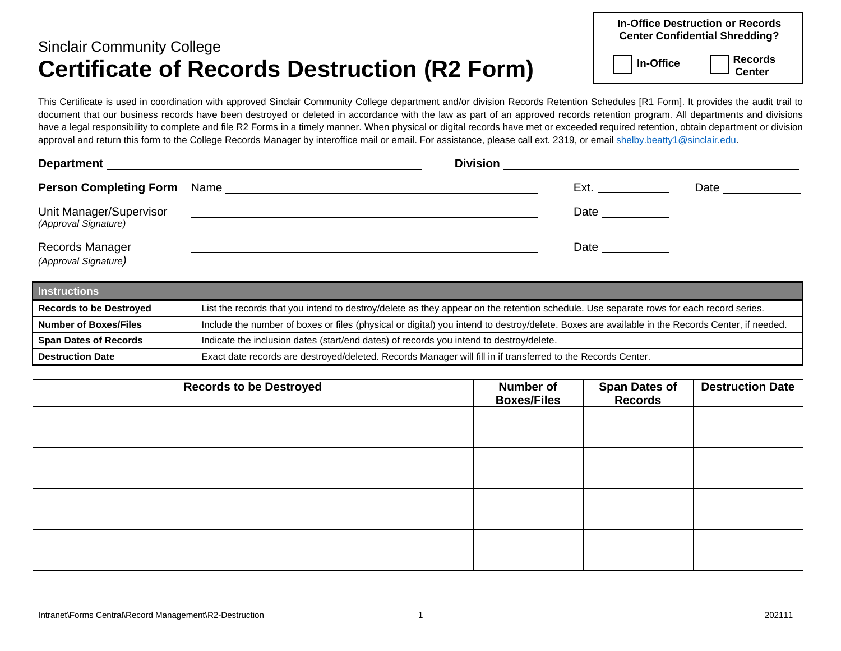## Sinclair Community College **Certificate of Records Destruction (R2 Form)**

| <b>In-Office Destruction or Records</b><br><b>Center Confidential Shredding?</b> |                |  |  |  |  |
|----------------------------------------------------------------------------------|----------------|--|--|--|--|
| $\vert$   In-Office                                                              | $\Box$ Records |  |  |  |  |

This Certificate is used in coordination with approved Sinclair Community College department and/or division Records Retention Schedules [R1 Form]. It provides the audit trail to document that our business records have been destroyed or deleted in accordance with the law as part of an approved records retention program. All departments and divisions have a legal responsibility to complete and file R2 Forms in a timely manner. When physical or digital records have met or exceeded required retention, obtain department or division approval and return this form to the College Records Manager by interoffice mail or email. For assistance, please call ext. 2319, or email [shelby.beatty1@sinclair.edu.](mailto:shelby.beatty1@sinclair.edu)

| <b>Department</b>                               | <b>Division</b> |  |
|-------------------------------------------------|-----------------|--|
| <b>Person Completing Form</b><br>Name           | Date<br>Ext.    |  |
| Unit Manager/Supervisor<br>(Approval Signature) | Date            |  |
| Records Manager<br>(Approval Signature)         | Date            |  |

| <b>Instructions</b>            |                                                                                                                                                |
|--------------------------------|------------------------------------------------------------------------------------------------------------------------------------------------|
| <b>Records to be Destroyed</b> | List the records that you intend to destroy/delete as they appear on the retention schedule. Use separate rows for each record series.         |
| <b>Number of Boxes/Files</b>   | Include the number of boxes or files (physical or digital) you intend to destroy/delete. Boxes are available in the Records Center, if needed. |
| <b>Span Dates of Records</b>   | Indicate the inclusion dates (start/end dates) of records you intend to destroy/delete.                                                        |
| <b>Destruction Date</b>        | Exact date records are destroyed/deleted. Records Manager will fill in if transferred to the Records Center.                                   |

| <b>Number of</b><br><b>Boxes/Files</b> | <b>Destruction Date</b>          |
|----------------------------------------|----------------------------------|
|                                        |                                  |
|                                        |                                  |
|                                        |                                  |
|                                        |                                  |
|                                        |                                  |
|                                        | <b>Span Dates of<br/>Records</b> |